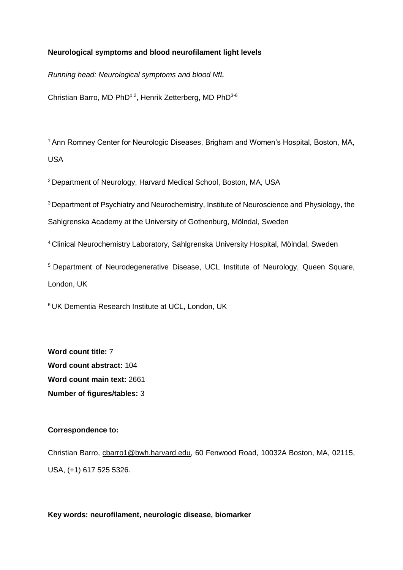# **Neurological symptoms and blood neurofilament light levels**

*Running head: Neurological symptoms and blood NfL*

Christian Barro, MD PhD<sup>1,2</sup>, Henrik Zetterberg, MD PhD<sup>3-6</sup>

<sup>1</sup> Ann Romney Center for Neurologic Diseases, Brigham and Women's Hospital, Boston, MA, USA

<sup>2</sup>Department of Neurology, Harvard Medical School, Boston, MA, USA

<sup>3</sup> Department of Psychiatry and Neurochemistry, Institute of Neuroscience and Physiology, the Sahlgrenska Academy at the University of Gothenburg, Mölndal, Sweden

<sup>4</sup> Clinical Neurochemistry Laboratory, Sahlgrenska University Hospital, Mölndal, Sweden

<sup>5</sup> Department of Neurodegenerative Disease, UCL Institute of Neurology, Queen Square, London, UK

<sup>6</sup> UK Dementia Research Institute at UCL, London, UK

**Word count title:** 7 **Word count abstract:** 104 **Word count main text:** 2661 **Number of figures/tables:** 3

## **Correspondence to:**

Christian Barro, [cbarro1@bwh.harvard.edu,](mailto:cbarro1@bwh.harvard.edu) 60 Fenwood Road, 10032A Boston, MA, 02115, USA, (+1) 617 525 5326.

**Key words: neurofilament, neurologic disease, biomarker**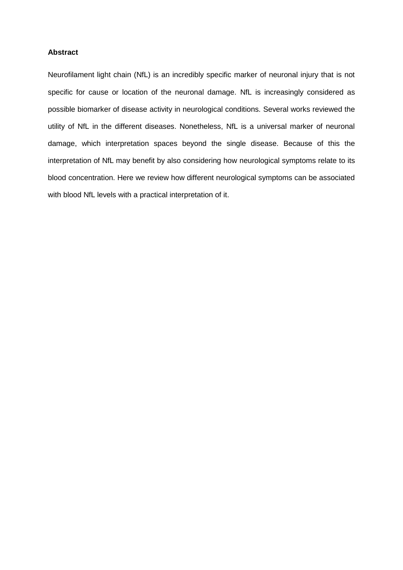# **Abstract**

Neurofilament light chain (NfL) is an incredibly specific marker of neuronal injury that is not specific for cause or location of the neuronal damage. NfL is increasingly considered as possible biomarker of disease activity in neurological conditions. Several works reviewed the utility of NfL in the different diseases. Nonetheless, NfL is a universal marker of neuronal damage, which interpretation spaces beyond the single disease. Because of this the interpretation of NfL may benefit by also considering how neurological symptoms relate to its blood concentration. Here we review how different neurological symptoms can be associated with blood NfL levels with a practical interpretation of it.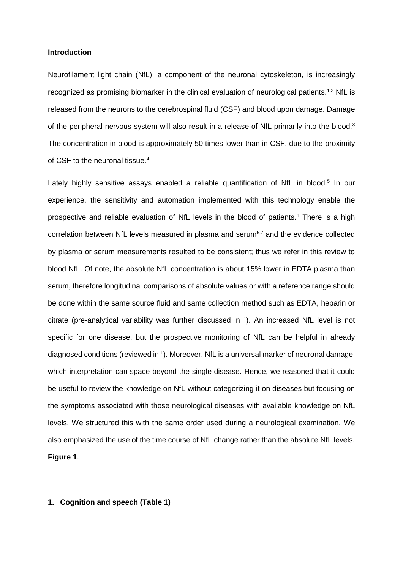### **Introduction**

Neurofilament light chain (NfL), a component of the neuronal cytoskeleton, is increasingly recognized as promising biomarker in the clinical evaluation of neurological patients.<sup>1,2</sup> NfL is released from the neurons to the cerebrospinal fluid (CSF) and blood upon damage. Damage of the peripheral nervous system will also result in a release of NfL primarily into the blood.<sup>3</sup> The concentration in blood is approximately 50 times lower than in CSF, due to the proximity of CSF to the neuronal tissue.<sup>4</sup>

Lately highly sensitive assays enabled a reliable quantification of NfL in blood.<sup>5</sup> In our experience, the sensitivity and automation implemented with this technology enable the prospective and reliable evaluation of NfL levels in the blood of patients.<sup>1</sup> There is a high correlation between NfL levels measured in plasma and serum $6.7$  and the evidence collected by plasma or serum measurements resulted to be consistent; thus we refer in this review to blood NfL. Of note, the absolute NfL concentration is about 15% lower in EDTA plasma than serum, therefore longitudinal comparisons of absolute values or with a reference range should be done within the same source fluid and same collection method such as EDTA, heparin or citrate (pre-analytical variability was further discussed in  $\frac{1}{1}$ ). An increased NfL level is not specific for one disease, but the prospective monitoring of NfL can be helpful in already diagnosed conditions (reviewed in <sup>1</sup>). Moreover, NfL is a universal marker of neuronal damage, which interpretation can space beyond the single disease. Hence, we reasoned that it could be useful to review the knowledge on NfL without categorizing it on diseases but focusing on the symptoms associated with those neurological diseases with available knowledge on NfL levels. We structured this with the same order used during a neurological examination. We also emphasized the use of the time course of NfL change rather than the absolute NfL levels, **Figure 1**.

## **1. Cognition and speech (Table 1)**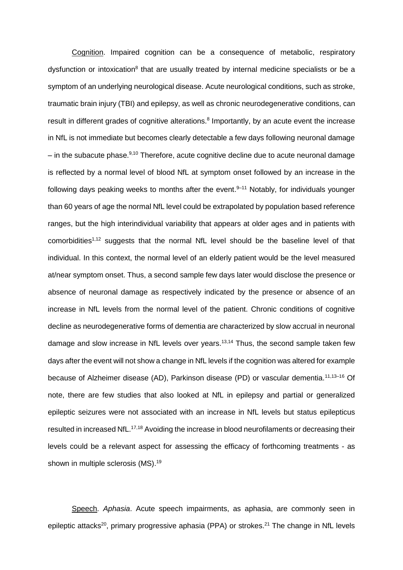Cognition. Impaired cognition can be a consequence of metabolic, respiratory dysfunction or intoxication<sup>8</sup> that are usually treated by internal medicine specialists or be a symptom of an underlying neurological disease. Acute neurological conditions, such as stroke, traumatic brain injury (TBI) and epilepsy, as well as chronic neurodegenerative conditions, can result in different grades of cognitive alterations.<sup>8</sup> Importantly, by an acute event the increase in NfL is not immediate but becomes clearly detectable a few days following neuronal damage  $-$  in the subacute phase. $9,10$  Therefore, acute cognitive decline due to acute neuronal damage is reflected by a normal level of blood NfL at symptom onset followed by an increase in the following days peaking weeks to months after the event.<sup>9–11</sup> Notably, for individuals younger than 60 years of age the normal NfL level could be extrapolated by population based reference ranges, but the high interindividual variability that appears at older ages and in patients with comorbidities<sup>1,12</sup> suggests that the normal NfL level should be the baseline level of that individual. In this context, the normal level of an elderly patient would be the level measured at/near symptom onset. Thus, a second sample few days later would disclose the presence or absence of neuronal damage as respectively indicated by the presence or absence of an increase in NfL levels from the normal level of the patient. Chronic conditions of cognitive decline as neurodegenerative forms of dementia are characterized by slow accrual in neuronal damage and slow increase in NfL levels over years. 13,14 Thus, the second sample taken few days after the event will not show a change in NfL levels if the cognition was altered for example because of Alzheimer disease (AD), Parkinson disease (PD) or vascular dementia.<sup>11,13-16</sup> Of note, there are few studies that also looked at NfL in epilepsy and partial or generalized epileptic seizures were not associated with an increase in NfL levels but status epilepticus resulted in increased NfL.<sup>17,18</sup> Avoiding the increase in blood neurofilaments or decreasing their levels could be a relevant aspect for assessing the efficacy of forthcoming treatments - as shown in multiple sclerosis (MS).<sup>19</sup>

Speech. *Aphasia*. Acute speech impairments, as aphasia, are commonly seen in epileptic attacks<sup>20</sup>, primary progressive aphasia (PPA) or strokes.<sup>21</sup> The change in NfL levels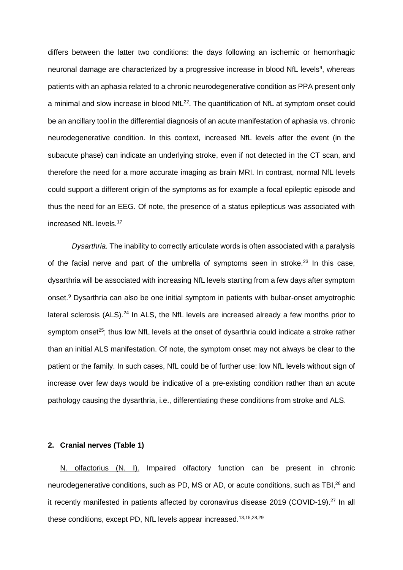differs between the latter two conditions: the days following an ischemic or hemorrhagic neuronal damage are characterized by a progressive increase in blood NfL levels<sup>9</sup>, whereas patients with an aphasia related to a chronic neurodegenerative condition as PPA present only a minimal and slow increase in blood  $NfL^{22}$ . The quantification of  $NfL$  at symptom onset could be an ancillary tool in the differential diagnosis of an acute manifestation of aphasia vs. chronic neurodegenerative condition. In this context, increased NfL levels after the event (in the subacute phase) can indicate an underlying stroke, even if not detected in the CT scan, and therefore the need for a more accurate imaging as brain MRI. In contrast, normal NfL levels could support a different origin of the symptoms as for example a focal epileptic episode and thus the need for an EEG. Of note, the presence of a status epilepticus was associated with increased NfL levels.<sup>17</sup>

*Dysarthria.* The inability to correctly articulate words is often associated with a paralysis of the facial nerve and part of the umbrella of symptoms seen in stroke.<sup>23</sup> In this case, dysarthria will be associated with increasing NfL levels starting from a few days after symptom onset.<sup>9</sup> Dysarthria can also be one initial symptom in patients with bulbar-onset amyotrophic lateral sclerosis (ALS).<sup>24</sup> In ALS, the NfL levels are increased already a few months prior to symptom onset<sup>25</sup>; thus low NfL levels at the onset of dysarthria could indicate a stroke rather than an initial ALS manifestation. Of note, the symptom onset may not always be clear to the patient or the family. In such cases, NfL could be of further use: low NfL levels without sign of increase over few days would be indicative of a pre-existing condition rather than an acute pathology causing the dysarthria, i.e., differentiating these conditions from stroke and ALS.

#### **2. Cranial nerves (Table 1)**

N. olfactorius (N. I). Impaired olfactory function can be present in chronic neurodegenerative conditions, such as PD, MS or AD, or acute conditions, such as TBI,<sup>26</sup> and it recently manifested in patients affected by coronavirus disease 2019 (COVID-19).<sup>27</sup> In all these conditions, except PD, NfL levels appear increased.<sup>13,15,28,29</sup>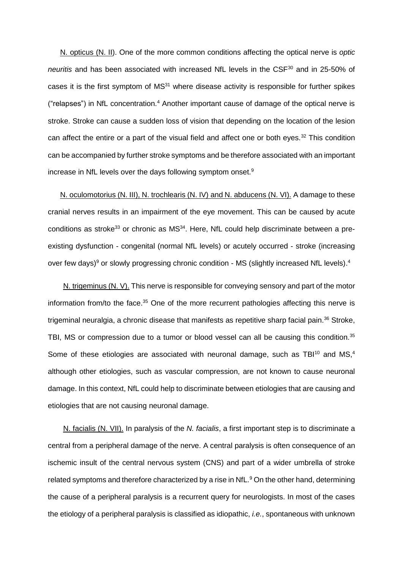N. opticus (N. II). One of the more common conditions affecting the optical nerve is *optic neuritis* and has been associated with increased NfL levels in the CSF<sup>30</sup> and in 25-50% of cases it is the first symptom of MS<sup>31</sup> where disease activity is responsible for further spikes ("relapses") in NfL concentration.<sup>4</sup> Another important cause of damage of the optical nerve is stroke. Stroke can cause a sudden loss of vision that depending on the location of the lesion can affect the entire or a part of the visual field and affect one or both eyes.<sup>32</sup> This condition can be accompanied by further stroke symptoms and be therefore associated with an important increase in NfL levels over the days following symptom onset.<sup>9</sup>

N. oculomotorius (N. III), N. trochlearis (N. IV) and N. abducens (N. VI). A damage to these cranial nerves results in an impairment of the eye movement. This can be caused by acute conditions as stroke<sup>33</sup> or chronic as  $MS<sup>34</sup>$ . Here, NfL could help discriminate between a preexisting dysfunction - congenital (normal NfL levels) or acutely occurred - stroke (increasing over few days)<sup>9</sup> or slowly progressing chronic condition - MS (slightly increased NfL levels).<sup>4</sup>

N. trigeminus (N. V). This nerve is responsible for conveying sensory and part of the motor information from/to the face.<sup>35</sup> One of the more recurrent pathologies affecting this nerve is trigeminal neuralgia, a chronic disease that manifests as repetitive sharp facial pain.<sup>36</sup> Stroke, TBI, MS or compression due to a tumor or blood vessel can all be causing this condition.<sup>35</sup> Some of these etiologies are associated with neuronal damage, such as TBI $^{10}$  and MS, $^{4}$ although other etiologies, such as vascular compression, are not known to cause neuronal damage. In this context, NfL could help to discriminate between etiologies that are causing and etiologies that are not causing neuronal damage.

N. facialis (N. VII). In paralysis of the *N. facialis*, a first important step is to discriminate a central from a peripheral damage of the nerve. A central paralysis is often consequence of an ischemic insult of the central nervous system (CNS) and part of a wider umbrella of stroke related symptoms and therefore characterized by a rise in NfL.<sup>9</sup> On the other hand, determining the cause of a peripheral paralysis is a recurrent query for neurologists. In most of the cases the etiology of a peripheral paralysis is classified as idiopathic, *i.e.*, spontaneous with unknown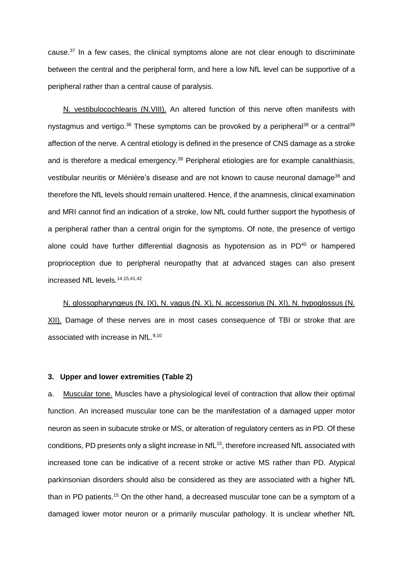cause. $37$  In a few cases, the clinical symptoms alone are not clear enough to discriminate between the central and the peripheral form, and here a low NfL level can be supportive of a peripheral rather than a central cause of paralysis.

N. vestibulocochlearis (N.VIII). An altered function of this nerve often manifests with nystagmus and vertigo.<sup>38</sup> These symptoms can be provoked by a peripheral<sup>38</sup> or a central<sup>39</sup> affection of the nerve. A central etiology is defined in the presence of CNS damage as a stroke and is therefore a medical emergency.<sup>39</sup> Peripheral etiologies are for example canalithiasis, vestibular neuritis or Ménière's disease and are not known to cause neuronal damage<sup>38</sup> and therefore the NfL levels should remain unaltered. Hence, if the anamnesis, clinical examination and MRI cannot find an indication of a stroke, low NfL could further support the hypothesis of a peripheral rather than a central origin for the symptoms. Of note, the presence of vertigo alone could have further differential diagnosis as hypotension as in  $PD<sup>40</sup>$  or hampered proprioception due to peripheral neuropathy that at advanced stages can also present increased NfL levels.14,15,41,42

N. glossopharyngeus (N. IX), N. vagus (N. X), N. accessorius (N. XI), N. hypoglossus (N. XII). Damage of these nerves are in most cases consequence of TBI or stroke that are associated with increase in NfL.<sup>9,10</sup>

### **3. Upper and lower extremities (Table 2)**

a. Muscular tone. Muscles have a physiological level of contraction that allow their optimal function. An increased muscular tone can be the manifestation of a damaged upper motor neuron as seen in subacute stroke or MS, or alteration of regulatory centers as in PD. Of these conditions, PD presents only a slight increase in NfL<sup>15</sup>, therefore increased NfL associated with increased tone can be indicative of a recent stroke or active MS rather than PD. Atypical parkinsonian disorders should also be considered as they are associated with a higher NfL than in PD patients.<sup>15</sup> On the other hand, a decreased muscular tone can be a symptom of a damaged lower motor neuron or a primarily muscular pathology. It is unclear whether NfL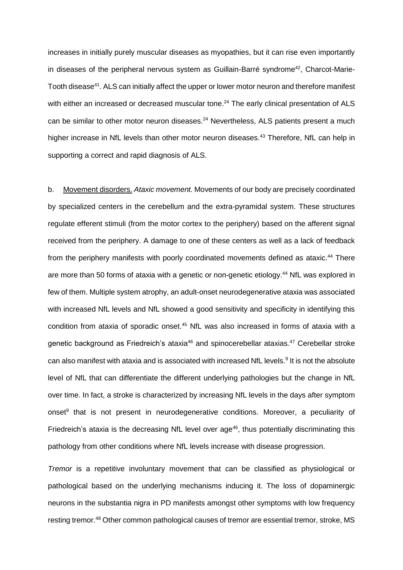increases in initially purely muscular diseases as myopathies, but it can rise even importantly in diseases of the peripheral nervous system as Guillain-Barré syndrome<sup>42</sup>, Charcot-Marie-Tooth disease<sup>41</sup>. ALS can initially affect the upper or lower motor neuron and therefore manifest with either an increased or decreased muscular tone.<sup>24</sup> The early clinical presentation of ALS can be similar to other motor neuron diseases.<sup>24</sup> Nevertheless, ALS patients present a much higher increase in NfL levels than other motor neuron diseases.<sup>43</sup> Therefore, NfL can help in supporting a correct and rapid diagnosis of ALS.

b. Movement disorders. *Ataxic movement.* Movements of our body are precisely coordinated by specialized centers in the cerebellum and the extra-pyramidal system. These structures regulate efferent stimuli (from the motor cortex to the periphery) based on the afferent signal received from the periphery. A damage to one of these centers as well as a lack of feedback from the periphery manifests with poorly coordinated movements defined as ataxic.<sup>44</sup> There are more than 50 forms of ataxia with a genetic or non-genetic etiology.<sup>44</sup> NfL was explored in few of them. Multiple system atrophy, an adult-onset neurodegenerative ataxia was associated with increased NfL levels and NfL showed a good sensitivity and specificity in identifying this condition from ataxia of sporadic onset. <sup>45</sup> NfL was also increased in forms of ataxia with a genetic background as Friedreich's ataxia<sup>46</sup> and spinocerebellar ataxias.<sup>47</sup> Cerebellar stroke can also manifest with ataxia and is associated with increased NfL levels.<sup>9</sup> It is not the absolute level of NfL that can differentiate the different underlying pathologies but the change in NfL over time. In fact, a stroke is characterized by increasing NfL levels in the days after symptom onset<sup>9</sup> that is not present in neurodegenerative conditions. Moreover, a peculiarity of Friedreich's ataxia is the decreasing NfL level over  $age^{46}$ , thus potentially discriminating this pathology from other conditions where NfL levels increase with disease progression.

*Tremor* is a repetitive involuntary movement that can be classified as physiological or pathological based on the underlying mechanisms inducing it. The loss of dopaminergic neurons in the substantia nigra in PD manifests amongst other symptoms with low frequency resting tremor.<sup>48</sup> Other common pathological causes of tremor are essential tremor, stroke, MS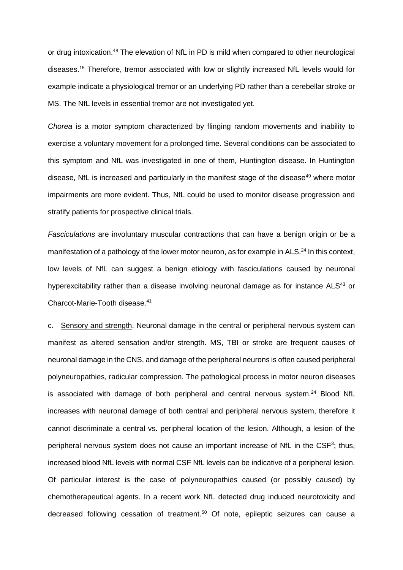or drug intoxication.<sup>48</sup> The elevation of NfL in PD is mild when compared to other neurological diseases.<sup>15</sup> Therefore, tremor associated with low or slightly increased NfL levels would for example indicate a physiological tremor or an underlying PD rather than a cerebellar stroke or MS. The NfL levels in essential tremor are not investigated yet.

*Chorea* is a motor symptom characterized by flinging random movements and inability to exercise a voluntary movement for a prolonged time. Several conditions can be associated to this symptom and NfL was investigated in one of them, Huntington disease. In Huntington disease, NfL is increased and particularly in the manifest stage of the disease<sup>49</sup> where motor impairments are more evident. Thus, NfL could be used to monitor disease progression and stratify patients for prospective clinical trials.

*Fasciculations* are involuntary muscular contractions that can have a benign origin or be a manifestation of a pathology of the lower motor neuron, as for example in ALS.<sup>24</sup> In this context, low levels of NfL can suggest a benign etiology with fasciculations caused by neuronal hyperexcitability rather than a disease involving neuronal damage as for instance ALS<sup>43</sup> or Charcot-Marie-Tooth disease.<sup>41</sup>

c. Sensory and strength. Neuronal damage in the central or peripheral nervous system can manifest as altered sensation and/or strength. MS, TBI or stroke are frequent causes of neuronal damage in the CNS, and damage of the peripheral neurons is often caused peripheral polyneuropathies, radicular compression. The pathological process in motor neuron diseases is associated with damage of both peripheral and central nervous system. $^{24}$  Blood NfL increases with neuronal damage of both central and peripheral nervous system, therefore it cannot discriminate a central vs. peripheral location of the lesion. Although, a lesion of the peripheral nervous system does not cause an important increase of NfL in the CSF<sup>3</sup>; thus, increased blood NfL levels with normal CSF NfL levels can be indicative of a peripheral lesion. Of particular interest is the case of polyneuropathies caused (or possibly caused) by chemotherapeutical agents. In a recent work NfL detected drug induced neurotoxicity and decreased following cessation of treatment.<sup>50</sup> Of note, epileptic seizures can cause a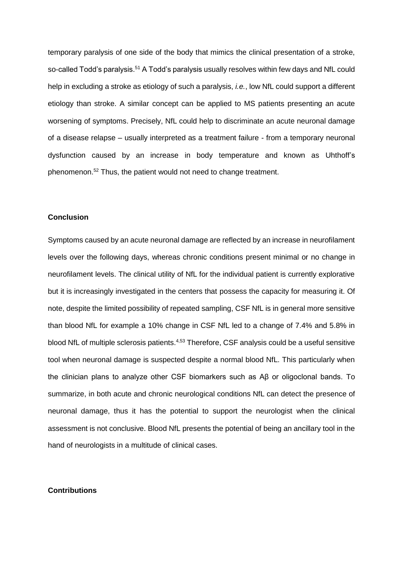temporary paralysis of one side of the body that mimics the clinical presentation of a stroke, so-called Todd's paralysis.<sup>51</sup> A Todd's paralysis usually resolves within few days and NfL could help in excluding a stroke as etiology of such a paralysis, *i.e.*, low NfL could support a different etiology than stroke. A similar concept can be applied to MS patients presenting an acute worsening of symptoms. Precisely, NfL could help to discriminate an acute neuronal damage of a disease relapse – usually interpreted as a treatment failure - from a temporary neuronal dysfunction caused by an increase in body temperature and known as Uhthoff's phenomenon.<sup>52</sup> Thus, the patient would not need to change treatment.

### **Conclusion**

Symptoms caused by an acute neuronal damage are reflected by an increase in neurofilament levels over the following days, whereas chronic conditions present minimal or no change in neurofilament levels. The clinical utility of NfL for the individual patient is currently explorative but it is increasingly investigated in the centers that possess the capacity for measuring it. Of note, despite the limited possibility of repeated sampling, CSF NfL is in general more sensitive than blood NfL for example a 10% change in CSF NfL led to a change of 7.4% and 5.8% in blood NfL of multiple sclerosis patients.<sup>4,53</sup> Therefore, CSF analysis could be a useful sensitive tool when neuronal damage is suspected despite a normal blood NfL. This particularly when the clinician plans to analyze other CSF biomarkers such as Aβ or oligoclonal bands. To summarize, in both acute and chronic neurological conditions NfL can detect the presence of neuronal damage, thus it has the potential to support the neurologist when the clinical assessment is not conclusive. Blood NfL presents the potential of being an ancillary tool in the hand of neurologists in a multitude of clinical cases.

## **Contributions**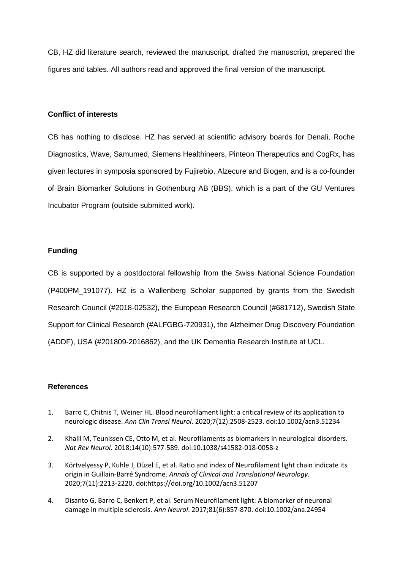CB, HZ did literature search, reviewed the manuscript, drafted the manuscript, prepared the figures and tables. All authors read and approved the final version of the manuscript.

# **Conflict of interests**

CB has nothing to disclose. HZ has served at scientific advisory boards for Denali, Roche Diagnostics, Wave, Samumed, Siemens Healthineers, Pinteon Therapeutics and CogRx, has given lectures in symposia sponsored by Fujirebio, Alzecure and Biogen, and is a co-founder of Brain Biomarker Solutions in Gothenburg AB (BBS), which is a part of the GU Ventures Incubator Program (outside submitted work).

# **Funding**

CB is supported by a postdoctoral fellowship from the Swiss National Science Foundation (P400PM 191077). HZ is a Wallenberg Scholar supported by grants from the Swedish Research Council (#2018-02532), the European Research Council (#681712), Swedish State Support for Clinical Research (#ALFGBG-720931), the Alzheimer Drug Discovery Foundation (ADDF), USA (#201809-2016862), and the UK Dementia Research Institute at UCL.

## **References**

- 1. Barro C, Chitnis T, Weiner HL. Blood neurofilament light: a critical review of its application to neurologic disease. *Ann Clin Transl Neurol*. 2020;7(12):2508-2523. doi:10.1002/acn3.51234
- 2. Khalil M, Teunissen CE, Otto M, et al. Neurofilaments as biomarkers in neurological disorders. *Nat Rev Neurol*. 2018;14(10):577-589. doi:10.1038/s41582-018-0058-z
- 3. Körtvelyessy P, Kuhle J, Düzel E, et al. Ratio and index of Neurofilament light chain indicate its origin in Guillain-Barré Syndrome. *Annals of Clinical and Translational Neurology*. 2020;7(11):2213-2220. doi:https://doi.org/10.1002/acn3.51207
- 4. Disanto G, Barro C, Benkert P, et al. Serum Neurofilament light: A biomarker of neuronal damage in multiple sclerosis. *Ann Neurol*. 2017;81(6):857-870. doi:10.1002/ana.24954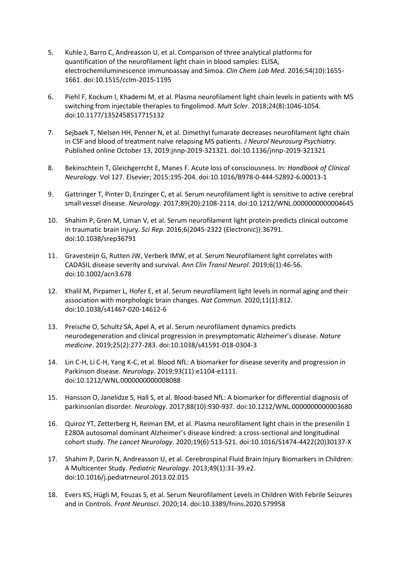- 5. Kuhle J, Barro C, Andreasson U, et al. Comparison of three analytical platforms for quantification of the neurofilament light chain in blood samples: ELISA, electrochemiluminescence immunoassay and Simoa. *Clin Chem Lab Med*. 2016;54(10):1655- 1661. doi:10.1515/cclm-2015-1195
- 6. Piehl F, Kockum I, Khademi M, et al. Plasma neurofilament light chain levels in patients with MS switching from injectable therapies to fingolimod. *Mult Scler*. 2018;24(8):1046-1054. doi:10.1177/1352458517715132
- 7. Sejbaek T, Nielsen HH, Penner N, et al. Dimethyl fumarate decreases neurofilament light chain in CSF and blood of treatment naïve relapsing MS patients. *J Neurol Neurosurg Psychiatry*. Published online October 13, 2019:jnnp-2019-321321. doi:10.1136/jnnp-2019-321321
- 8. Bekinschtein T, Gleichgerrcht E, Manes F. Acute loss of consciousness. In: *Handbook of Clinical Neurology*. Vol 127. Elsevier; 2015:195-204. doi:10.1016/B978-0-444-52892-6.00013-1
- 9. Gattringer T, Pinter D, Enzinger C, et al. Serum neurofilament light is sensitive to active cerebral small vessel disease. *Neurology*. 2017;89(20):2108-2114. doi:10.1212/WNL.0000000000004645
- 10. Shahim P, Gren M, Liman V, et al. Serum neurofilament light protein predicts clinical outcome in traumatic brain injury. *Sci Rep*. 2016;6(2045-2322 (Electronic)):36791. doi:10.1038/srep36791
- 11. Gravesteijn G, Rutten JW, Verberk IMW, et al. Serum Neurofilament light correlates with CADASIL disease severity and survival. *Ann Clin Transl Neurol*. 2019;6(1):46-56. doi:10.1002/acn3.678
- 12. Khalil M, Pirpamer L, Hofer E, et al. Serum neurofilament light levels in normal aging and their association with morphologic brain changes. *Nat Commun*. 2020;11(1):812. doi:10.1038/s41467-020-14612-6
- 13. Preische O, Schultz SA, Apel A, et al. Serum neurofilament dynamics predicts neurodegeneration and clinical progression in presymptomatic Alzheimer's disease. *Nature medicine*. 2019;25(2):277-283. doi:10.1038/s41591-018-0304-3
- 14. Lin C-H, Li C-H, Yang K-C, et al. Blood NfL: A biomarker for disease severity and progression in Parkinson disease. *Neurology*. 2019;93(11):e1104-e1111. doi:10.1212/WNL.0000000000008088
- 15. Hansson O, Janelidze S, Hall S, et al. Blood-based NfL: A biomarker for differential diagnosis of parkinsonian disorder. *Neurology*. 2017;88(10):930-937. doi:10.1212/WNL.0000000000003680
- 16. Quiroz YT, Zetterberg H, Reiman EM, et al. Plasma neurofilament light chain in the presenilin 1 E280A autosomal dominant Alzheimer's disease kindred: a cross-sectional and longitudinal cohort study. *The Lancet Neurology*. 2020;19(6):513-521. doi:10.1016/S1474-4422(20)30137-X
- 17. Shahim P, Darin N, Andreasson U, et al. Cerebrospinal Fluid Brain Injury Biomarkers in Children: A Multicenter Study. *Pediatric Neurology*. 2013;49(1):31-39.e2. doi:10.1016/j.pediatrneurol.2013.02.015
- 18. Evers KS, Hügli M, Fouzas S, et al. Serum Neurofilament Levels in Children With Febrile Seizures and in Controls. *Front Neurosci*. 2020;14. doi:10.3389/fnins.2020.579958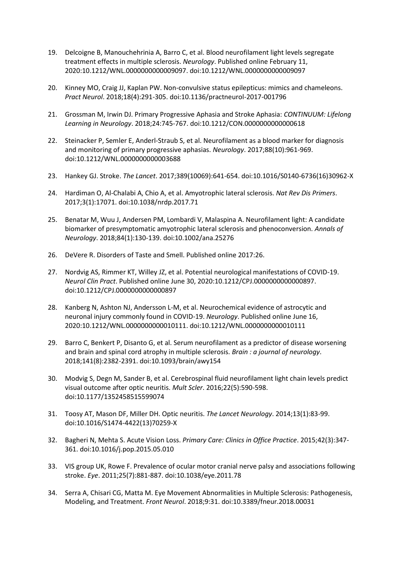- 19. Delcoigne B, Manouchehrinia A, Barro C, et al. Blood neurofilament light levels segregate treatment effects in multiple sclerosis. *Neurology*. Published online February 11, 2020:10.1212/WNL.0000000000009097. doi:10.1212/WNL.0000000000009097
- 20. Kinney MO, Craig JJ, Kaplan PW. Non-convulsive status epilepticus: mimics and chameleons. *Pract Neurol*. 2018;18(4):291-305. doi:10.1136/practneurol-2017-001796
- 21. Grossman M, Irwin DJ. Primary Progressive Aphasia and Stroke Aphasia: *CONTINUUM: Lifelong Learning in Neurology*. 2018;24:745-767. doi:10.1212/CON.0000000000000618
- 22. Steinacker P, Semler E, Anderl-Straub S, et al. Neurofilament as a blood marker for diagnosis and monitoring of primary progressive aphasias. *Neurology*. 2017;88(10):961-969. doi:10.1212/WNL.0000000000003688
- 23. Hankey GJ. Stroke. *The Lancet*. 2017;389(10069):641-654. doi:10.1016/S0140-6736(16)30962-X
- 24. Hardiman O, Al-Chalabi A, Chio A, et al. Amyotrophic lateral sclerosis. *Nat Rev Dis Primers*. 2017;3(1):17071. doi:10.1038/nrdp.2017.71
- 25. Benatar M, Wuu J, Andersen PM, Lombardi V, Malaspina A. Neurofilament light: A candidate biomarker of presymptomatic amyotrophic lateral sclerosis and phenoconversion. *Annals of Neurology*. 2018;84(1):130-139. doi:10.1002/ana.25276
- 26. DeVere R. Disorders of Taste and Smell. Published online 2017:26.
- 27. Nordvig AS, Rimmer KT, Willey JZ, et al. Potential neurological manifestations of COVID-19. *Neurol Clin Pract*. Published online June 30, 2020:10.1212/CPJ.0000000000000897. doi:10.1212/CPJ.0000000000000897
- 28. Kanberg N, Ashton NJ, Andersson L-M, et al. Neurochemical evidence of astrocytic and neuronal injury commonly found in COVID-19. *Neurology*. Published online June 16, 2020:10.1212/WNL.0000000000010111. doi:10.1212/WNL.0000000000010111
- 29. Barro C, Benkert P, Disanto G, et al. Serum neurofilament as a predictor of disease worsening and brain and spinal cord atrophy in multiple sclerosis. *Brain : a journal of neurology*. 2018;141(8):2382-2391. doi:10.1093/brain/awy154
- 30. Modvig S, Degn M, Sander B, et al. Cerebrospinal fluid neurofilament light chain levels predict visual outcome after optic neuritis. *Mult Scler*. 2016;22(5):590-598. doi:10.1177/1352458515599074
- 31. Toosy AT, Mason DF, Miller DH. Optic neuritis. *The Lancet Neurology*. 2014;13(1):83-99. doi:10.1016/S1474-4422(13)70259-X
- 32. Bagheri N, Mehta S. Acute Vision Loss. *Primary Care: Clinics in Office Practice*. 2015;42(3):347- 361. doi:10.1016/j.pop.2015.05.010
- 33. VIS group UK, Rowe F. Prevalence of ocular motor cranial nerve palsy and associations following stroke. *Eye*. 2011;25(7):881-887. doi:10.1038/eye.2011.78
- 34. Serra A, Chisari CG, Matta M. Eye Movement Abnormalities in Multiple Sclerosis: Pathogenesis, Modeling, and Treatment. *Front Neurol*. 2018;9:31. doi:10.3389/fneur.2018.00031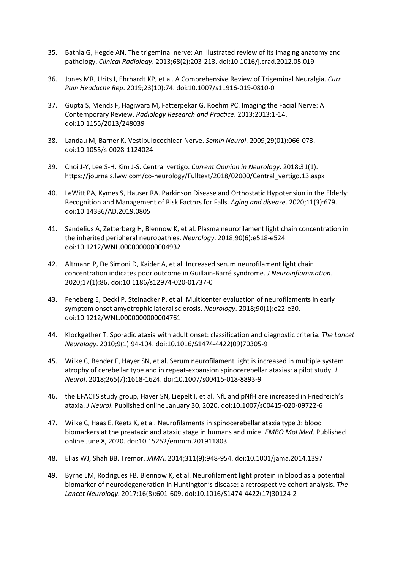- 35. Bathla G, Hegde AN. The trigeminal nerve: An illustrated review of its imaging anatomy and pathology. *Clinical Radiology*. 2013;68(2):203-213. doi:10.1016/j.crad.2012.05.019
- 36. Jones MR, Urits I, Ehrhardt KP, et al. A Comprehensive Review of Trigeminal Neuralgia. *Curr Pain Headache Rep*. 2019;23(10):74. doi:10.1007/s11916-019-0810-0
- 37. Gupta S, Mends F, Hagiwara M, Fatterpekar G, Roehm PC. Imaging the Facial Nerve: A Contemporary Review. *Radiology Research and Practice*. 2013;2013:1-14. doi:10.1155/2013/248039
- 38. Landau M, Barner K. Vestibulocochlear Nerve. *Semin Neurol*. 2009;29(01):066-073. doi:10.1055/s-0028-1124024
- 39. Choi J-Y, Lee S-H, Kim J-S. Central vertigo. *Current Opinion in Neurology*. 2018;31(1). https://journals.lww.com/co-neurology/Fulltext/2018/02000/Central\_vertigo.13.aspx
- 40. LeWitt PA, Kymes S, Hauser RA. Parkinson Disease and Orthostatic Hypotension in the Elderly: Recognition and Management of Risk Factors for Falls. *Aging and disease*. 2020;11(3):679. doi:10.14336/AD.2019.0805
- 41. Sandelius A, Zetterberg H, Blennow K, et al. Plasma neurofilament light chain concentration in the inherited peripheral neuropathies. *Neurology*. 2018;90(6):e518-e524. doi:10.1212/WNL.0000000000004932
- 42. Altmann P, De Simoni D, Kaider A, et al. Increased serum neurofilament light chain concentration indicates poor outcome in Guillain-Barré syndrome. *J Neuroinflammation*. 2020;17(1):86. doi:10.1186/s12974-020-01737-0
- 43. Feneberg E, Oeckl P, Steinacker P, et al. Multicenter evaluation of neurofilaments in early symptom onset amyotrophic lateral sclerosis. *Neurology*. 2018;90(1):e22-e30. doi:10.1212/WNL.0000000000004761
- 44. Klockgether T. Sporadic ataxia with adult onset: classification and diagnostic criteria. *The Lancet Neurology*. 2010;9(1):94-104. doi:10.1016/S1474-4422(09)70305-9
- 45. Wilke C, Bender F, Hayer SN, et al. Serum neurofilament light is increased in multiple system atrophy of cerebellar type and in repeat-expansion spinocerebellar ataxias: a pilot study. *J Neurol*. 2018;265(7):1618-1624. doi:10.1007/s00415-018-8893-9
- 46. the EFACTS study group, Hayer SN, Liepelt I, et al. NfL and pNfH are increased in Friedreich's ataxia. *J Neurol*. Published online January 30, 2020. doi:10.1007/s00415-020-09722-6
- 47. Wilke C, Haas E, Reetz K, et al. Neurofilaments in spinocerebellar ataxia type 3: blood biomarkers at the preataxic and ataxic stage in humans and mice. *EMBO Mol Med*. Published online June 8, 2020. doi:10.15252/emmm.201911803
- 48. Elias WJ, Shah BB. Tremor. *JAMA*. 2014;311(9):948-954. doi:10.1001/jama.2014.1397
- 49. Byrne LM, Rodrigues FB, Blennow K, et al. Neurofilament light protein in blood as a potential biomarker of neurodegeneration in Huntington's disease: a retrospective cohort analysis. *The Lancet Neurology*. 2017;16(8):601-609. doi:10.1016/S1474-4422(17)30124-2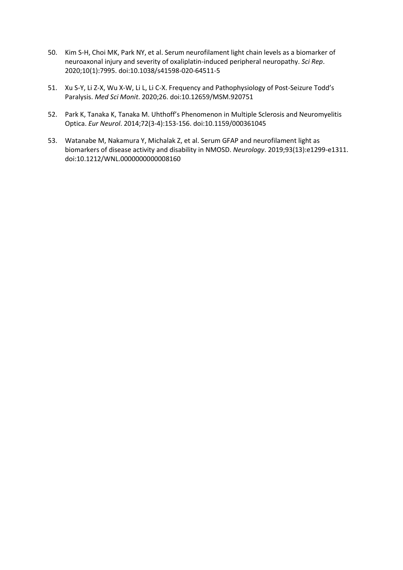- 50. Kim S-H, Choi MK, Park NY, et al. Serum neurofilament light chain levels as a biomarker of neuroaxonal injury and severity of oxaliplatin-induced peripheral neuropathy. *Sci Rep*. 2020;10(1):7995. doi:10.1038/s41598-020-64511-5
- 51. Xu S-Y, Li Z-X, Wu X-W, Li L, Li C-X. Frequency and Pathophysiology of Post-Seizure Todd's Paralysis. *Med Sci Monit*. 2020;26. doi:10.12659/MSM.920751
- 52. Park K, Tanaka K, Tanaka M. Uhthoff's Phenomenon in Multiple Sclerosis and Neuromyelitis Optica. *Eur Neurol*. 2014;72(3-4):153-156. doi:10.1159/000361045
- 53. Watanabe M, Nakamura Y, Michalak Z, et al. Serum GFAP and neurofilament light as biomarkers of disease activity and disability in NMOSD. *Neurology*. 2019;93(13):e1299-e1311. doi:10.1212/WNL.0000000000008160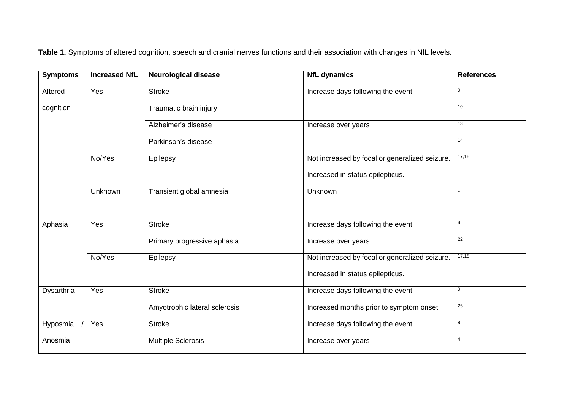**Table 1.** Symptoms of altered cognition, speech and cranial nerves functions and their association with changes in NfL levels.

| <b>Symptoms</b> | <b>Increased NfL</b> | <b>Neurological disease</b>   | <b>NfL dynamics</b>                            | <b>References</b> |
|-----------------|----------------------|-------------------------------|------------------------------------------------|-------------------|
| Altered         | Yes                  | <b>Stroke</b>                 | Increase days following the event              | 9                 |
| cognition       |                      | Traumatic brain injury        |                                                | 10                |
|                 |                      | Alzheimer's disease           | Increase over years                            | 13                |
|                 |                      | Parkinson's disease           |                                                | 14                |
|                 | No/Yes               | Epilepsy                      | Not increased by focal or generalized seizure. | 17,18             |
|                 |                      |                               | Increased in status epilepticus.               |                   |
|                 | Unknown              | Transient global amnesia      | Unknown                                        |                   |
|                 |                      |                               |                                                |                   |
| Aphasia         | Yes                  | <b>Stroke</b>                 | Increase days following the event              | 9                 |
|                 |                      | Primary progressive aphasia   | Increase over years                            | 22                |
|                 | No/Yes               | Epilepsy                      | Not increased by focal or generalized seizure. | 17,18             |
|                 |                      |                               | Increased in status epilepticus.               |                   |
| Dysarthria      | Yes                  | <b>Stroke</b>                 | Increase days following the event              | 9                 |
|                 |                      | Amyotrophic lateral sclerosis | Increased months prior to symptom onset        | 25                |
| Hyposmia        | Yes                  | <b>Stroke</b>                 | Increase days following the event              | 9                 |
| Anosmia         |                      | <b>Multiple Sclerosis</b>     | Increase over years                            | 4                 |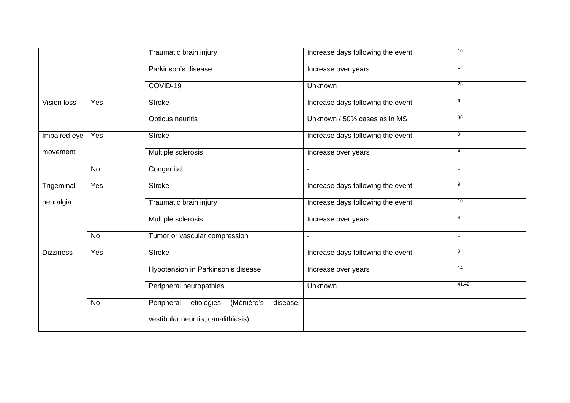|                  |     | Traumatic brain injury                             | Increase days following the event | 10                       |
|------------------|-----|----------------------------------------------------|-----------------------------------|--------------------------|
|                  |     | Parkinson's disease                                | Increase over years               | 14                       |
|                  |     | COVID-19                                           | Unknown                           | 28                       |
| Vision loss      | Yes | <b>Stroke</b>                                      | Increase days following the event | 9                        |
|                  |     | Opticus neuritis                                   | Unknown / 50% cases as in MS      | 30                       |
| Impaired eye     | Yes | <b>Stroke</b>                                      | Increase days following the event | 9                        |
| movement         |     | Multiple sclerosis                                 | Increase over years               | 4                        |
|                  | No  | Congenital                                         | $\blacksquare$                    | $\blacksquare$           |
| Trigeminal       | Yes | <b>Stroke</b>                                      | Increase days following the event | 9                        |
| neuralgia        |     | Traumatic brain injury                             | Increase days following the event | 10                       |
|                  |     | Multiple sclerosis                                 | Increase over years               | 4                        |
|                  | No  | Tumor or vascular compression                      | $\blacksquare$                    | $\blacksquare$           |
| <b>Dizziness</b> | Yes | <b>Stroke</b>                                      | Increase days following the event | 9                        |
|                  |     | Hypotension in Parkinson's disease                 | Increase over years               | 14                       |
|                  |     | Peripheral neuropathies                            | Unknown                           | 41,42                    |
|                  | No  | (Ménière's<br>Peripheral<br>etiologies<br>disease, |                                   | $\overline{\phantom{0}}$ |
|                  |     | vestibular neuritis, canalithiasis)                |                                   |                          |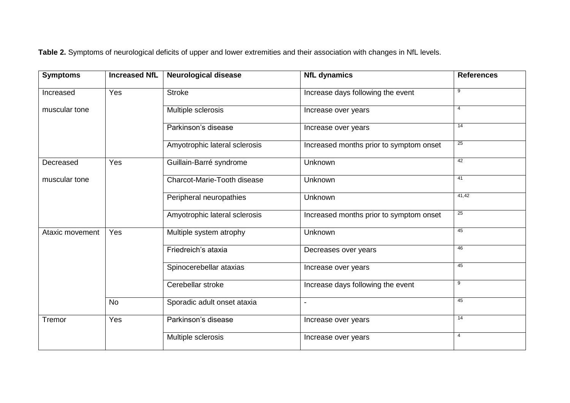**Table 2.** Symptoms of neurological deficits of upper and lower extremities and their association with changes in NfL levels.

| <b>Symptoms</b> | <b>Increased NfL</b> | <b>Neurological disease</b>   | <b>NfL dynamics</b>                     | <b>References</b> |
|-----------------|----------------------|-------------------------------|-----------------------------------------|-------------------|
| Increased       | Yes                  | <b>Stroke</b>                 | Increase days following the event       | 9                 |
| muscular tone   |                      | Multiple sclerosis            | Increase over years                     | 4                 |
|                 |                      | Parkinson's disease           | Increase over years                     | 14                |
|                 |                      | Amyotrophic lateral sclerosis | Increased months prior to symptom onset | $\overline{25}$   |
| Decreased       | Yes                  | Guillain-Barré syndrome       | Unknown                                 | 42                |
| muscular tone   |                      | Charcot-Marie-Tooth disease   | Unknown                                 | 41                |
|                 |                      | Peripheral neuropathies       | Unknown                                 | 41,42             |
|                 |                      | Amyotrophic lateral sclerosis | Increased months prior to symptom onset | $\overline{25}$   |
| Ataxic movement | Yes                  | Multiple system atrophy       | Unknown                                 | 45                |
|                 |                      | Friedreich's ataxia           | Decreases over years                    | 46                |
|                 |                      | Spinocerebellar ataxias       | Increase over years                     | 45                |
|                 |                      | Cerebellar stroke             | Increase days following the event       | 9                 |
|                 | <b>No</b>            | Sporadic adult onset ataxia   |                                         | 45                |
| Tremor          | Yes                  | Parkinson's disease           | Increase over years                     | 14                |
|                 |                      | Multiple sclerosis            | Increase over years                     | $\overline{4}$    |